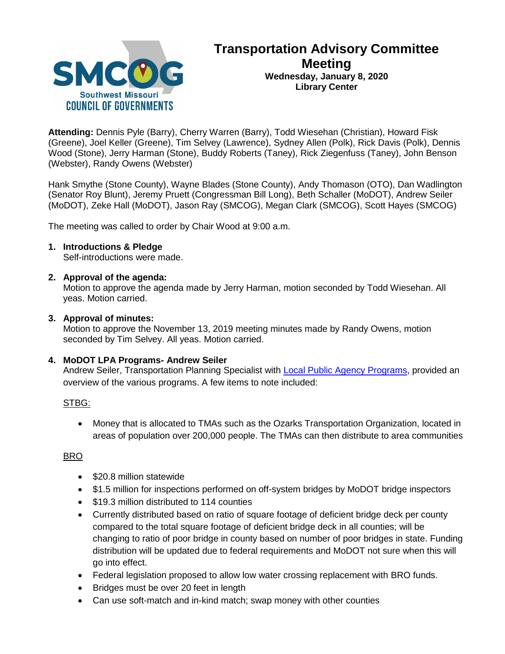

# **Transportation Advisory Committee Meeting Wednesday, January 8, 2020 Library Center**

**Attending:** Dennis Pyle (Barry), Cherry Warren (Barry), Todd Wiesehan (Christian), Howard Fisk (Greene), Joel Keller (Greene), Tim Selvey (Lawrence), Sydney Allen (Polk), Rick Davis (Polk), Dennis Wood (Stone), Jerry Harman (Stone), Buddy Roberts (Taney), Rick Ziegenfuss (Taney), John Benson (Webster), Randy Owens (Webster)

Hank Smythe (Stone County), Wayne Blades (Stone County), Andy Thomason (OTO), Dan Wadlington (Senator Roy Blunt), Jeremy Pruett (Congressman Bill Long), Beth Schaller (MoDOT), Andrew Seiler (MoDOT), Zeke Hall (MoDOT), Jason Ray (SMCOG), Megan Clark (SMCOG), Scott Hayes (SMCOG)

The meeting was called to order by Chair Wood at 9:00 a.m.

## **1. Introductions & Pledge**

Self-introductions were made.

### **2. Approval of the agenda:**

Motion to approve the agenda made by Jerry Harman, motion seconded by Todd Wiesehan. All yeas. Motion carried.

### **3. Approval of minutes:**

Motion to approve the November 13, 2019 meeting minutes made by Randy Owens, motion seconded by Tim Selvey. All yeas. Motion carried.

## **4. MoDOT LPA Programs- Andrew Seiler**

Andrew Seiler, Transportation Planning Specialist with [Local Public Agency Programs,](https://www.modot.org/local-public-agency) provided an overview of the various programs. A few items to note included:

#### STBG:

• Money that is allocated to TMAs such as the Ozarks Transportation Organization, located in areas of population over 200,000 people. The TMAs can then distribute to area communities

## BRO

- \$20.8 million statewide
- \$1.5 million for inspections performed on off-system bridges by MoDOT bridge inspectors
- \$19.3 million distributed to 114 counties
- Currently distributed based on ratio of square footage of deficient bridge deck per county compared to the total square footage of deficient bridge deck in all counties; will be changing to ratio of poor bridge in county based on number of poor bridges in state. Funding distribution will be updated due to federal requirements and MoDOT not sure when this will go into effect.
- Federal legislation proposed to allow low water crossing replacement with BRO funds.
- Bridges must be over 20 feet in length
- Can use soft-match and in-kind match; swap money with other counties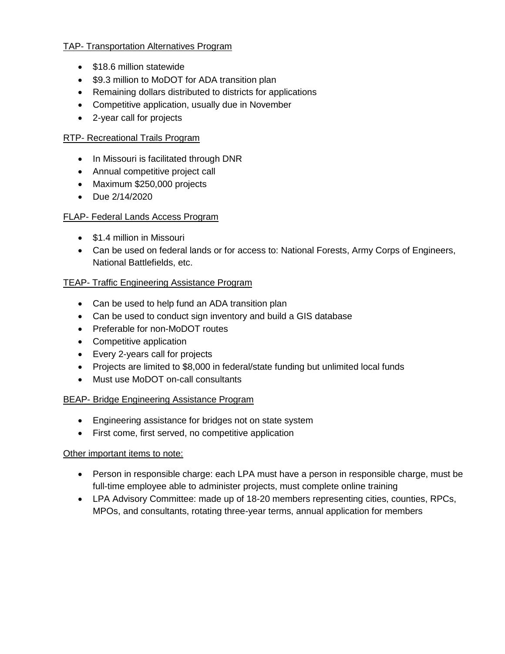## TAP- Transportation Alternatives Program

- \$18.6 million statewide
- \$9.3 million to MoDOT for ADA transition plan
- Remaining dollars distributed to districts for applications
- Competitive application, usually due in November
- 2-year call for projects

# RTP- Recreational Trails Program

- In Missouri is facilitated through DNR
- Annual competitive project call
- Maximum \$250,000 projects
- Due 2/14/2020

# FLAP- Federal Lands Access Program

- \$1.4 million in Missouri
- Can be used on federal lands or for access to: National Forests, Army Corps of Engineers, National Battlefields, etc.

# TEAP- Traffic Engineering Assistance Program

- Can be used to help fund an ADA transition plan
- Can be used to conduct sign inventory and build a GIS database
- Preferable for non-MoDOT routes
- Competitive application
- Every 2-years call for projects
- Projects are limited to \$8,000 in federal/state funding but unlimited local funds
- Must use MoDOT on-call consultants

# BEAP- Bridge Engineering Assistance Program

- Engineering assistance for bridges not on state system
- First come, first served, no competitive application

# Other important items to note:

- Person in responsible charge: each LPA must have a person in responsible charge, must be full-time employee able to administer projects, must complete online training
- LPA Advisory Committee: made up of 18-20 members representing cities, counties, RPCs, MPOs, and consultants, rotating three-year terms, annual application for members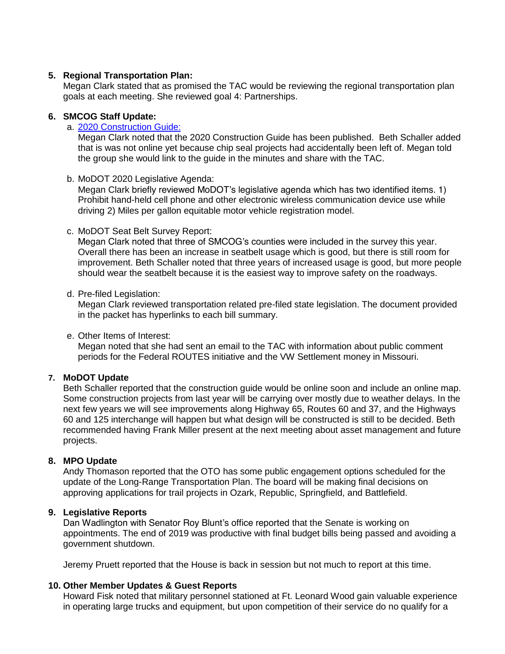## **5. Regional Transportation Plan:**

Megan Clark stated that as promised the TAC would be reviewing the regional transportation plan goals at each meeting. She reviewed goal 4: Partnerships.

## **6. SMCOG Staff Update:**

# a. [2020 Construction Guide:](https://www.modot.org/2020-southwest-district-construction-guide)

Megan Clark noted that the 2020 Construction Guide has been published. Beth Schaller added that is was not online yet because chip seal projects had accidentally been left of. Megan told the group she would link to the guide in the minutes and share with the TAC.

### b. MoDOT 2020 Legislative Agenda:

Megan Clark briefly reviewed MoDOT's legislative agenda which has two identified items. 1) Prohibit hand-held cell phone and other electronic wireless communication device use while driving 2) Miles per gallon equitable motor vehicle registration model.

### c. MoDOT Seat Belt Survey Report:

Megan Clark noted that three of SMCOG's counties were included in the survey this year. Overall there has been an increase in seatbelt usage which is good, but there is still room for improvement. Beth Schaller noted that three years of increased usage is good, but more people should wear the seatbelt because it is the easiest way to improve safety on the roadways.

### d. Pre-filed Legislation:

Megan Clark reviewed transportation related pre-filed state legislation. The document provided in the packet has hyperlinks to each bill summary.

## e. Other Items of Interest:

Megan noted that she had sent an email to the TAC with information about public comment periods for the Federal ROUTES initiative and the VW Settlement money in Missouri.

## **7. MoDOT Update**

Beth Schaller reported that the construction guide would be online soon and include an online map. Some construction projects from last year will be carrying over mostly due to weather delays. In the next few years we will see improvements along Highway 65, Routes 60 and 37, and the Highways 60 and 125 interchange will happen but what design will be constructed is still to be decided. Beth recommended having Frank Miller present at the next meeting about asset management and future projects.

## **8. MPO Update**

Andy Thomason reported that the OTO has some public engagement options scheduled for the update of the Long-Range Transportation Plan. The board will be making final decisions on approving applications for trail projects in Ozark, Republic, Springfield, and Battlefield.

#### **9. Legislative Reports**

Dan Wadlington with Senator Roy Blunt's office reported that the Senate is working on appointments. The end of 2019 was productive with final budget bills being passed and avoiding a government shutdown.

Jeremy Pruett reported that the House is back in session but not much to report at this time.

#### **10. Other Member Updates & Guest Reports**

Howard Fisk noted that military personnel stationed at Ft. Leonard Wood gain valuable experience in operating large trucks and equipment, but upon competition of their service do no qualify for a